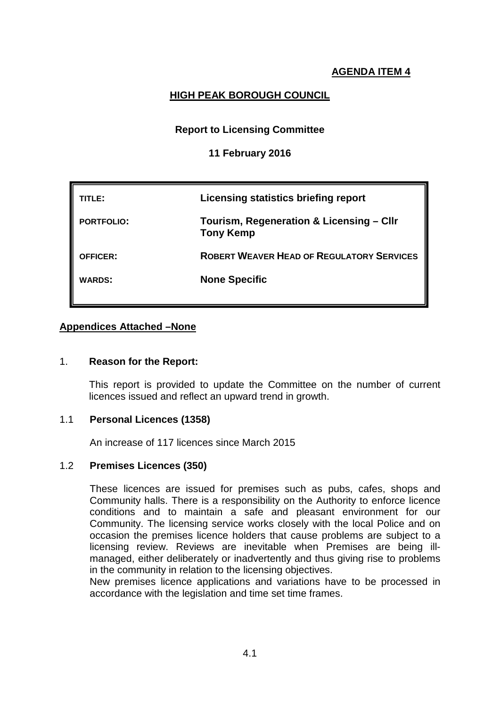# **HIGH PEAK BOROUGH COUNCIL**

# **Report to Licensing Committee**

## **11 February 2016**

| TLE:              | Licensing statistics briefing report                         |
|-------------------|--------------------------------------------------------------|
| <b>PORTFOLIO:</b> | Tourism, Regeneration & Licensing - Cllr<br><b>Tony Kemp</b> |
| <b>OFFICER:</b>   | <b>ROBERT WEAVER HEAD OF REGULATORY SERVICES</b>             |
| <b>WARDS:</b>     | <b>None Specific</b>                                         |

# **Appendices Attached –None**

## 1. **Reason for the Report:**

This report is provided to update the Committee on the number of current licences issued and reflect an upward trend in growth.

## 1.1 **Personal Licences (1358)**

An increase of 117 licences since March 2015

## 1.2 **Premises Licences (350)**

These licences are issued for premises such as pubs, cafes, shops and Community halls. There is a responsibility on the Authority to enforce licence conditions and to maintain a safe and pleasant environment for our Community. The licensing service works closely with the local Police and on occasion the premises licence holders that cause problems are subject to a licensing review. Reviews are inevitable when Premises are being illmanaged, either deliberately or inadvertently and thus giving rise to problems in the community in relation to the licensing objectives.

New premises licence applications and variations have to be processed in accordance with the legislation and time set time frames.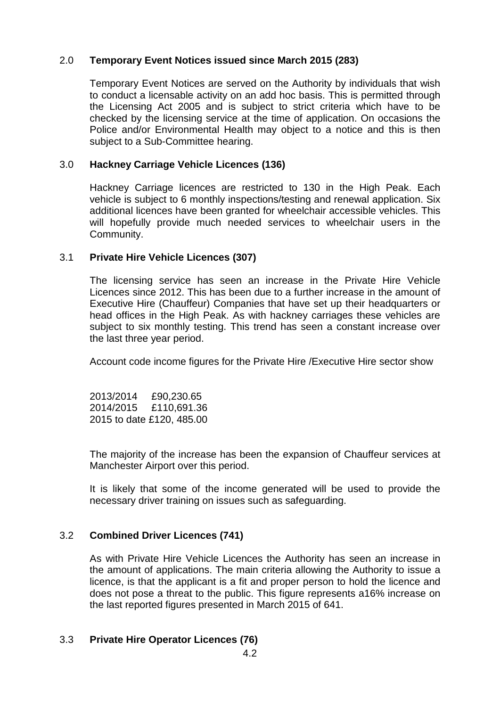# 2.0 **Temporary Event Notices issued since March 2015 (283)**

Temporary Event Notices are served on the Authority by individuals that wish to conduct a licensable activity on an add hoc basis. This is permitted through the Licensing Act 2005 and is subject to strict criteria which have to be checked by the licensing service at the time of application. On occasions the Police and/or Environmental Health may object to a notice and this is then subject to a Sub-Committee hearing.

# 3.0 **Hackney Carriage Vehicle Licences (136)**

Hackney Carriage licences are restricted to 130 in the High Peak. Each vehicle is subject to 6 monthly inspections/testing and renewal application. Six additional licences have been granted for wheelchair accessible vehicles. This will hopefully provide much needed services to wheelchair users in the Community.

## 3.1 **Private Hire Vehicle Licences (307)**

The licensing service has seen an increase in the Private Hire Vehicle Licences since 2012. This has been due to a further increase in the amount of Executive Hire (Chauffeur) Companies that have set up their headquarters or head offices in the High Peak. As with hackney carriages these vehicles are subject to six monthly testing. This trend has seen a constant increase over the last three year period.

Account code income figures for the Private Hire /Executive Hire sector show

2013/2014 £90,230.65 2014/2015 £110,691.36 2015 to date £120, 485.00

The majority of the increase has been the expansion of Chauffeur services at Manchester Airport over this period.

It is likely that some of the income generated will be used to provide the necessary driver training on issues such as safeguarding.

## 3.2 **Combined Driver Licences (741)**

As with Private Hire Vehicle Licences the Authority has seen an increase in the amount of applications. The main criteria allowing the Authority to issue a licence, is that the applicant is a fit and proper person to hold the licence and does not pose a threat to the public. This figure represents a16% increase on the last reported figures presented in March 2015 of 641.

## 3.3 **Private Hire Operator Licences (76)**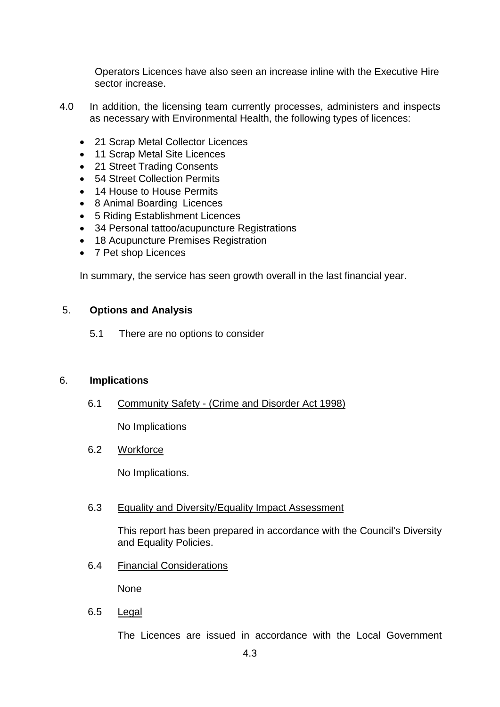Operators Licences have also seen an increase inline with the Executive Hire sector increase.

- 4.0 In addition, the licensing team currently processes, administers and inspects as necessary with Environmental Health, the following types of licences:
	- 21 Scrap Metal Collector Licences
	- 11 Scrap Metal Site Licences
	- 21 Street Trading Consents
	- 54 Street Collection Permits
	- 14 House to House Permits
	- 8 Animal Boarding Licences
	- 5 Riding Establishment Licences
	- 34 Personal tattoo/acupuncture Registrations
	- 18 Acupuncture Premises Registration
	- 7 Pet shop Licences

In summary, the service has seen growth overall in the last financial year.

#### 5. **Options and Analysis**

5.1 There are no options to consider

#### 6. **Implications**

6.1 Community Safety - (Crime and Disorder Act 1998)

No Implications

# 6.2 Workforce

No Implications.

#### 6.3 Equality and Diversity/Equality Impact Assessment

This report has been prepared in accordance with the Council's Diversity and Equality Policies.

6.4 Financial Considerations

None

6.5 Legal

The Licences are issued in accordance with the Local Government